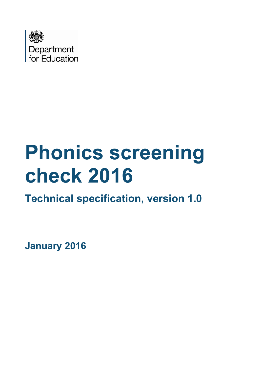

# **Phonics screening check 2016**

**Technical specification, version 1.0**

**January 2016**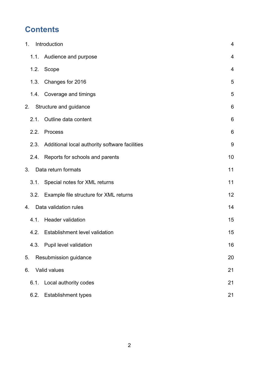# **Contents**

| 1. |      | Introduction                                   | $\overline{4}$  |
|----|------|------------------------------------------------|-----------------|
|    |      | 1.1. Audience and purpose                      | 4               |
|    | 1.2. | Scope                                          | 4               |
|    | 1.3. | Changes for 2016                               | 5               |
|    |      | 1.4. Coverage and timings                      | 5               |
| 2. |      | Structure and guidance                         | $6\phantom{1}$  |
|    | 2.1. | Outline data content                           | 6               |
|    | 2.2. | Process                                        | $6\phantom{1}6$ |
|    | 2.3. | Additional local authority software facilities | $9\,$           |
|    |      | 2.4. Reports for schools and parents           | 10              |
| 3. |      | Data return formats                            | 11              |
|    | 3.1. | Special notes for XML returns                  | 11              |
|    |      | 3.2. Example file structure for XML returns    | 12              |
| 4. |      | Data validation rules                          | 14              |
|    | 4.1. | <b>Header validation</b>                       | 15              |
|    |      | 4.2. Establishment level validation            | 15              |
|    |      | 4.3. Pupil level validation                    | 16              |
| 5. |      | Resubmission guidance                          | 20              |
| 6. |      | Valid values                                   | 21              |
|    | 6.1. | Local authority codes                          | 21              |
|    | 6.2. | <b>Establishment types</b>                     | 21              |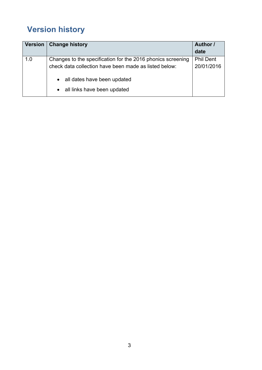# **Version history**

| Version | <b>Change history</b>                                       | Author /<br>date |
|---------|-------------------------------------------------------------|------------------|
| 1.0     | Changes to the specification for the 2016 phonics screening | <b>Phil Dent</b> |
|         | check data collection have been made as listed below:       | 20/01/2016       |
|         | • all dates have been updated                               |                  |
|         | • all links have been updated                               |                  |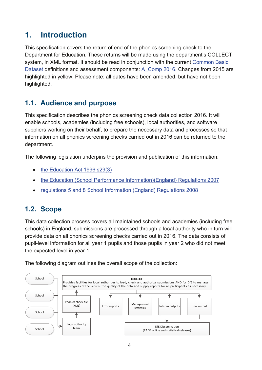## <span id="page-3-0"></span>**1. Introduction**

This specification covers the return of end of the phonics screening check to the Department for Education. These returns will be made using the department's COLLECT system, in XML format. It should be read in conjunction with the current [Common Basic](https://www.gov.uk/government/collections/common-basic-data-set)  [Dataset](https://www.gov.uk/government/collections/common-basic-data-set) definitions and assessment components: [A\\_Comp 2016.](https://www.gov.uk/government/publications/assessment-component-files-2016) Changes from 2015 are highlighted in yellow. Please note; all dates have been amended, but have not been highlighted.

## <span id="page-3-1"></span>**1.1. Audience and purpose**

This specification describes the phonics screening check data collection 2016. It will enable schools, academies (including free schools), local authorities, and software suppliers working on their behalf, to prepare the necessary data and processes so that information on all phonics screening checks carried out in 2016 can be returned to the department.

The following legislation underpins the provision and publication of this information:

- $\bullet$  the Education Act 1996 s29(3)
- [the Education \(School Performance Information\)\(England\) Regulations 2007](http://www.legislation.gov.uk/uksi/2007/2324/contents/made)
- x [regulations 5 and 8 School Information \(England\) Regulations 2008](http://www.legislation.gov.uk/uksi/2008/3093/contents/made)

#### <span id="page-3-2"></span>**1.2. Scope**

This data collection process covers all maintained schools and academies (including free schools) in England, submissions are processed through a local authority who in turn will provide data on all phonics screening checks carried out in 2016. The data consists of pupil-level information for all year 1 pupils and those pupils in year 2 who did not meet the expected level in year 1.

The following diagram outlines the overall scope of the collection:

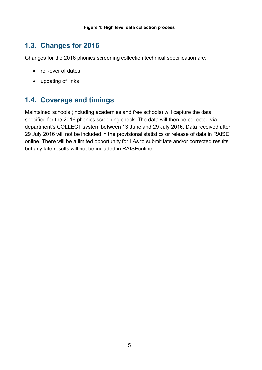## <span id="page-4-0"></span>**1.3. Changes for 2016**

Changes for the 2016 phonics screening collection technical specification are:

- roll-over of dates
- updating of links

## <span id="page-4-1"></span>**1.4. Coverage and timings**

Maintained schools (including academies and free schools) will capture the data specified for the 2016 phonics screening check. The data will then be collected via department's COLLECT system between 13 June and 29 July 2016. Data received after 29 July 2016 will not be included in the provisional statistics or release of data in RAISE online. There will be a limited opportunity for LAs to submit late and/or corrected results but any late results will not be included in RAISEonline.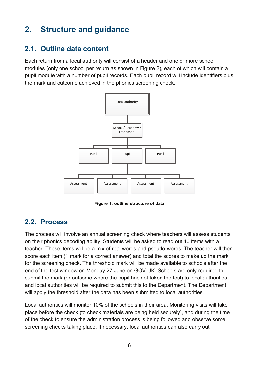# <span id="page-5-0"></span>**2. Structure and guidance**

#### <span id="page-5-1"></span>**2.1. Outline data content**

Each return from a local authority will consist of a header and one or more school modules (only one school per return as shown in Figure 2), each of which will contain a pupil module with a number of pupil records. Each pupil record will include identifiers plus the mark and outcome achieved in the phonics screening check.



**Figure 1: outline structure of data** 

## <span id="page-5-2"></span>**2.2. Process**

The process will involve an annual screening check where teachers will assess students on their phonics decoding ability. Students will be asked to read out 40 items with a teacher. These items will be a mix of real words and pseudo-words. The teacher will then score each item (1 mark for a correct answer) and total the scores to make up the mark for the screening check. The threshold mark will be made available to schools after the end of the test window on Monday 27 June on GOV.UK. Schools are only required to submit the mark (or outcome where the pupil has not taken the test) to local authorities and local authorities will be required to submit this to the Department. The Department will apply the threshold after the data has been submitted to local authorities.

Local authorities will monitor 10% of the schools in their area. Monitoring visits will take place before the check (to check materials are being held securely), and during the time of the check to ensure the administration process is being followed and observe some screening checks taking place. If necessary, local authorities can also carry out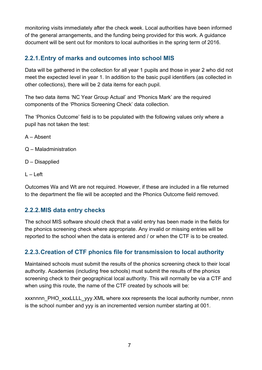monitoring visits immediately after the check week. Local authorities have been informed of the general arrangements, and the funding being provided for this work. A guidance document will be sent out for monitors to local authorities in the spring term of 2016.

#### **2.2.1.Entry of marks and outcomes into school MIS**

Data will be gathered in the collection for all year 1 pupils and those in year 2 who did not meet the expected level in year 1. In addition to the basic pupil identifiers (as collected in other collections), there will be 2 data items for each pupil.

The two data items 'NC Year Group Actual' and 'Phonics Mark' are the required components of the 'Phonics Screening Check' data collection.

The 'Phonics Outcome' field is to be populated with the following values only where a pupil has not taken the test:

A – Absent

- Q Maladministration
- D Disapplied
- $L Left$

Outcomes Wa and Wt are not required. However, if these are included in a file returned to the department the file will be accepted and the Phonics Outcome field removed.

#### **2.2.2.MIS data entry checks**

The school MIS software should check that a valid entry has been made in the fields for the phonics screening check where appropriate. Any invalid or missing entries will be reported to the school when the data is entered and / or when the CTF is to be created.

#### **2.2.3.Creation of CTF phonics file for transmission to local authority**

Maintained schools must submit the results of the phonics screening check to their local authority. Academies (including free schools) must submit the results of the phonics screening check to their geographical local authority. This will normally be via a CTF and when using this route, the name of the CTF created by schools will be:

xxxnnnn\_PHO\_xxxLLLL\_yyy.XML where xxx represents the local authority number, nnnn is the school number and yyy is an incremented version number starting at 001.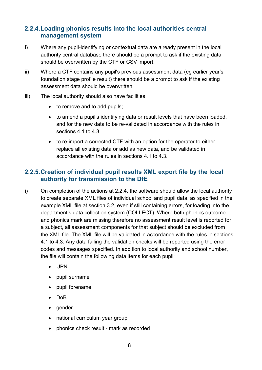#### **2.2.4.Loading phonics results into the local authorities central management system**

- i) Where any pupil-identifying or contextual data are already present in the local authority central database there should be a prompt to ask if the existing data should be overwritten by the CTF or CSV import.
- ii) Where a CTF contains any pupil's previous assessment data (eg earlier year's foundation stage profile result) there should be a prompt to ask if the existing assessment data should be overwritten.
- iii) The local authority should also have facilities:
	- to remove and to add pupils;
	- to amend a pupil's identifying data or result levels that have been loaded, and for the new data to be re-validated in accordance with the rules in sections 4.1 to 4.3
	- to re-import a corrected CTF with an option for the operator to either replace all existing data or add as new data, and be validated in accordance with the rules in sections 4.1 to 4.3.

#### **2.2.5.Creation of individual pupil results XML export file by the local authority for transmission to the DfE**

- i) On completion of the actions at 2.2.4, the software should allow the local authority to create separate XML files of individual school and pupil data, as specified in the example XML file at section 3.2, even if still containing errors, for loading into the department's data collection system (COLLECT). Where both phonics outcome and phonics mark are missing therefore no assessment result level is reported for a subject, all assessment components for that subject should be excluded from the XML file. The XML file will be validated in accordance with the rules in sections 4.1 to 4.3. Any data failing the validation checks will be reported using the error codes and messages specified. In addition to local authority and school number, the file will contain the following data items for each pupil:
	- UPN
	- pupil surname
	- pupil forename
	- DoB
	- gender
	- national curriculum year group
	- phonics check result mark as recorded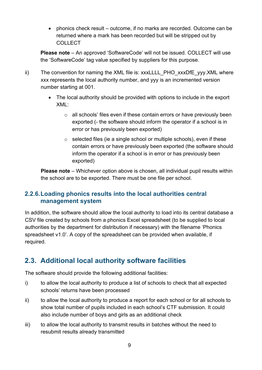• phonics check result – outcome, if no marks are recorded. Outcome can be returned where a mark has been recorded but will be stripped out by **COLLECT** 

**Please note** – An approved 'SoftwareCode' will not be issued. COLLECT will use the 'SoftwareCode' tag value specified by suppliers for this purpose.

- ii) The convention for naming the XML file is: xxxLLLL\_PHO\_xxxDfE\_yyy.XML where xxx represents the local authority number, and yyy is an incremented version number starting at 001.
	- The local authority should be provided with options to include in the export XML:
		- $\circ$  all schools' files even if these contain errors or have previously been exported (- the software should inform the operator if a school is in error or has previously been exported)
		- $\circ$  selected files (ie a single school or multiple schools), even if these contain errors or have previously been exported (the software should inform the operator if a school is in error or has previously been exported)

**Please note** – Whichever option above is chosen, all individual pupil results within the school are to be exported. There must be one file per school.

#### **2.2.6.Loading phonics results into the local authorities central management system**

In addition, the software should allow the local authority to load into its central database a CSV file created by schools from a phonics Excel spreadsheet (to be supplied to local authorities by the department for distribution if necessary) with the filename 'Phonics spreadsheet v1.0'. A copy of the spreadsheet can be provided when available, if required.

## <span id="page-8-0"></span>**2.3. Additional local authority software facilities**

The software should provide the following additional facilities:

- i) to allow the local authority to produce a list of schools to check that all expected schools' returns have been processed
- ii) to allow the local authority to produce a report for each school or for all schools to show total number of pupils included in each school's CTF submission. It could also include number of boys and girls as an additional check
- iii) to allow the local authority to transmit results in batches without the need to resubmit results already transmitted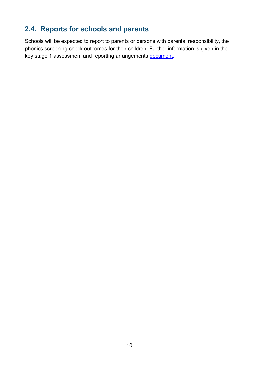## <span id="page-9-0"></span>**2.4. Reports for schools and parents**

Schools will be expected to report to parents or persons with parental responsibility, the phonics screening check outcomes for their children. Further information is given in the key stage 1 assessment and reporting arrangements [document.](https://www.gov.uk/guidance/2016-key-stage-1-assessment-and-reporting-arrangements-ara)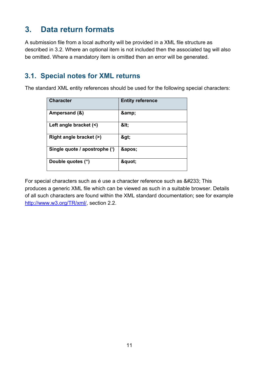# <span id="page-10-0"></span>**3. Data return formats**

A submission file from a local authority will be provided in a XML file structure as described in 3.2. Where an optional item is not included then the associated tag will also be omitted. Where a mandatory item is omitted then an error will be generated.

## <span id="page-10-1"></span>**3.1. Special notes for XML returns**

The standard XML entity references should be used for the following special characters:

| <b>Character</b>              | <b>Entity reference</b> |
|-------------------------------|-------------------------|
| Ampersand (&)                 | &                       |
| Left angle bracket (<)        | <                       |
| Right angle bracket (>)       | >                       |
| Single quote / apostrophe (') | '                       |
| Double quotes (")             | "                       |

For special characters such as é use a character reference such as é This produces a generic XML file which can be viewed as such in a suitable browser. Details of all such characters are found within the XML standard documentation; see for example [http://www.w3.org/TR/xml/,](http://www.w3.org/TR/xml/) section 2.2.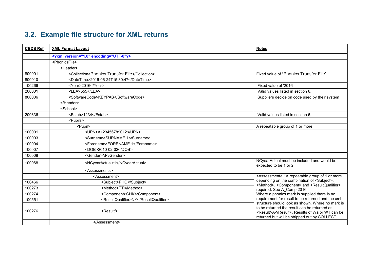## **3.2. Example file structure for XML returns**

<span id="page-11-0"></span>

| <b>CBDS Ref</b> | <b>XML Format Layout</b>                       | <b>Notes</b>                                                                                                                                                                                         |
|-----------------|------------------------------------------------|------------------------------------------------------------------------------------------------------------------------------------------------------------------------------------------------------|
|                 | xml version="1.0" encoding="UTF-8"?            |                                                                                                                                                                                                      |
|                 | <phonicsfile></phonicsfile>                    |                                                                                                                                                                                                      |
|                 | <header></header>                              |                                                                                                                                                                                                      |
| 800001          | <collection>Phonics Transfer File</collection> | Fixed value of "Phonics Transfer File"                                                                                                                                                               |
| 800010          | <datetime>2016-06-24T15:30:47</datetime>       |                                                                                                                                                                                                      |
| 100266          | <year>2016</year>                              | Fixed value of '2016'                                                                                                                                                                                |
| 200001          | <lea>555</lea>                                 | Valid values listed in section 6.                                                                                                                                                                    |
| 800006          | <softwarecode>KEYPAS</softwarecode>            | Suppliers decide on code used by their system                                                                                                                                                        |
|                 |                                                |                                                                                                                                                                                                      |
|                 | <school></school>                              |                                                                                                                                                                                                      |
| 200636          | <estab>1234</estab>                            | Valid values listed in section 6.                                                                                                                                                                    |
|                 | <pupils></pupils>                              |                                                                                                                                                                                                      |
|                 | <pupil></pupil>                                | A repeatable group of 1 or more                                                                                                                                                                      |
| 100001          | <upn>A123456789012</upn>                       |                                                                                                                                                                                                      |
| 100003          | <surname>SURNAME 1</surname>                   |                                                                                                                                                                                                      |
| 100004          | <forename>FORENAME 1</forename>                |                                                                                                                                                                                                      |
| 100007          | <dob>2010-02-02</dob>                          |                                                                                                                                                                                                      |
| 100008          | <gender>M</gender>                             |                                                                                                                                                                                                      |
| 100068          | <ncyearactual>1</ncyearactual>                 | NCyearActual must be included and would be<br>expected to be 1 or 2                                                                                                                                  |
|                 | <assessments></assessments>                    |                                                                                                                                                                                                      |
|                 | <assessment></assessment>                      | <assessment> : A repeatable group of 1 or more</assessment>                                                                                                                                          |
| 100466          | <subject>PHO</subject>                         | depending on the combination of <subject>,<br/><method>, <component> and <resultqualifier></resultqualifier></component></method></subject>                                                          |
| 100273          | <method>TT</method>                            | required. See A_Comp 2016.                                                                                                                                                                           |
| 100274          | <component>CHK</component>                     | Where a phonics mark is supplied there is no                                                                                                                                                         |
| 100551          | <resultqualifier>NY</resultqualifier>          | requirement for result to be returned and the xml                                                                                                                                                    |
| 100276          | <result></result>                              | structure should look as shown. Where no mark is<br>to be returned the result can be returned as<br><result>A</result> . Results of Wa or WT can be<br>returned but will be stripped out by COLLECT. |
|                 |                                                |                                                                                                                                                                                                      |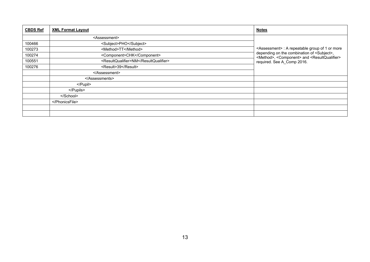| <b>CBDS Ref</b> | <b>XML Format Layout</b>              | <b>Notes</b>                                                                                                                                |
|-----------------|---------------------------------------|---------------------------------------------------------------------------------------------------------------------------------------------|
|                 | <assessment></assessment>             |                                                                                                                                             |
| 100466          | <subject>PHO</subject>                |                                                                                                                                             |
| 100273          | <method>TT</method>                   | <assessment> : A repeatable group of 1 or more</assessment>                                                                                 |
| 100274          | <component>CHK</component>            | depending on the combination of <subject>,<br/><method>, <component> and <resultqualifier></resultqualifier></component></method></subject> |
| 100551          | <resultqualifier>NM</resultqualifier> | required. See A_Comp 2016.                                                                                                                  |
| 100276          | <result>39</result>                   |                                                                                                                                             |
|                 | $<$ /Assessment>                      |                                                                                                                                             |
|                 |                                       |                                                                                                                                             |
|                 | $<$ /Pupil>                           |                                                                                                                                             |
|                 |                                       |                                                                                                                                             |
|                 |                                       |                                                                                                                                             |
|                 |                                       |                                                                                                                                             |
|                 |                                       |                                                                                                                                             |
|                 |                                       |                                                                                                                                             |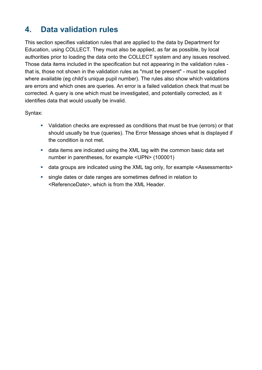# <span id="page-13-0"></span>**4. Data validation rules**

This section specifies validation rules that are applied to the data by Department for Education, using COLLECT. They must also be applied, as far as possible, by local authorities prior to loading the data onto the COLLECT system and any issues resolved. Those data items included in the specification but not appearing in the validation rules that is, those not shown in the validation rules as "must be present" - must be supplied where available (eg child's unique pupil number). The rules also show which validations are errors and which ones are queries. An error is a failed validation check that must be corrected. A query is one which must be investigated, and potentially corrected, as it identifies data that would usually be invalid.

Syntax:

- Validation checks are expressed as conditions that must be true (errors) or that should usually be true (queries). The Error Message shows what is displayed if the condition is not met.
- data items are indicated using the XML tag with the common basic data set number in parentheses, for example <UPN> (100001)
- data groups are indicated using the XML tag only, for example <Assessments>
- single dates or date ranges are sometimes defined in relation to <ReferenceDate>, which is from the XML Header.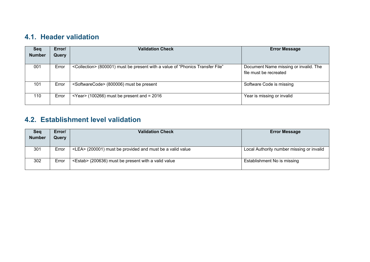#### **4.1. Header validation**

| <b>Seq</b><br><b>Number</b> | Error/<br>Query | <b>Validation Check</b>                                                                    | <b>Error Message</b>                                            |
|-----------------------------|-----------------|--------------------------------------------------------------------------------------------|-----------------------------------------------------------------|
| 001                         | Error           | <collection> (800001) must be present with a value of "Phonics Transfer File"</collection> | Document Name missing or invalid. The<br>file must be recreated |
| 101                         | Error           | <softwarecode> (800006) must be present</softwarecode>                                     | Software Code is missing                                        |
| 110                         | Error           | $\epsilon$ Year (100266) must be present and = 2016                                        | Year is missing or invalid                                      |

## **4.2. Establishment level validation**

<span id="page-14-1"></span><span id="page-14-0"></span>

| Seq<br><b>Number</b> | Error/<br>Query | <b>Validation Check</b>                                         | <b>Error Message</b>                      |
|----------------------|-----------------|-----------------------------------------------------------------|-------------------------------------------|
|                      |                 |                                                                 |                                           |
| 301                  | Error           | <lea> (200001) must be provided and must be a valid value</lea> | Local Authority number missing or invalid |
| 302                  | Error           | <estab> (200636) must be present with a valid value</estab>     | Establishment No is missing               |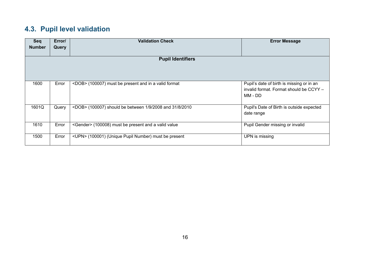## **4.3. Pupil level validation**

<span id="page-15-0"></span>

| Seq           | Error/                   | <b>Validation Check</b>                                       | <b>Error Message</b>                                                                            |  |  |
|---------------|--------------------------|---------------------------------------------------------------|-------------------------------------------------------------------------------------------------|--|--|
| <b>Number</b> | Query                    |                                                               |                                                                                                 |  |  |
|               | <b>Pupil Identifiers</b> |                                                               |                                                                                                 |  |  |
| 1600          | Error                    | <dob> (100007) must be present and in a valid format</dob>    | Pupil's date of birth is missing or in an<br>invalid format. Format should be CCYY -<br>MM - DD |  |  |
| 1601Q         | Query                    | <dob> (100007) should be between 1/9/2008 and 31/8/2010</dob> | Pupil's Date of Birth is outside expected<br>date range                                         |  |  |
| 1610          | Error                    | <gender> (100008) must be present and a valid value</gender>  | Pupil Gender missing or invalid                                                                 |  |  |
| 1500          | Error                    | <upn> (100001) (Unique Pupil Number) must be present</upn>    | UPN is missing                                                                                  |  |  |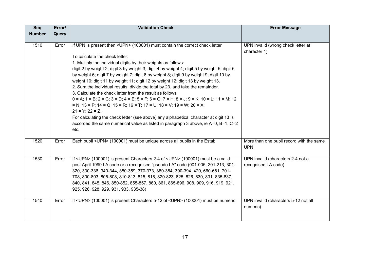| Seq           | Error/ | <b>Validation Check</b>                                                                                                                                                                                                                                                                                                                                                                                                                                                                                                                                                                                                                                    | <b>Error Message</b>                                     |
|---------------|--------|------------------------------------------------------------------------------------------------------------------------------------------------------------------------------------------------------------------------------------------------------------------------------------------------------------------------------------------------------------------------------------------------------------------------------------------------------------------------------------------------------------------------------------------------------------------------------------------------------------------------------------------------------------|----------------------------------------------------------|
| <b>Number</b> | Query  |                                                                                                                                                                                                                                                                                                                                                                                                                                                                                                                                                                                                                                                            |                                                          |
| 1510          | Error  | If UPN is present then <upn> (100001) must contain the correct check letter<br/>To calculate the check letter:<br/>1. Multiply the individual digits by their weights as follows:<br/>digit 2 by weight 2; digit 3 by weight 3; digit 4 by weight 4; digit 5 by weight 5; digit 6<br/>by weight 6; digit 7 by weight 7; digit 8 by weight 8; digit 9 by weight 9; digit 10 by</upn>                                                                                                                                                                                                                                                                        | UPN invalid (wrong check letter at<br>character 1)       |
|               |        | weight 10; digit 11 by weight 11; digit 12 by weight 12; digit 13 by weight 13.<br>2. Sum the individual results, divide the total by 23, and take the remainder.<br>3. Calculate the check letter from the result as follows:<br>$0 = A$ ; $1 = B$ ; $2 = C$ ; $3 = D$ ; $4 = E$ ; $5 = F$ ; $6 = G$ ; $7 = H$ ; $8 = J$ ; $9 = K$ ; $10 = L$ ; $11 = M$ ; $12$<br>$N$ ; 13 = P; 14 = Q; 15 = R; 16 = T; 17 = U; 18 = V; 19 = W; 20 = X;<br>$21 = Y$ ; $22 = Z$ .<br>For calculating the check letter (see above) any alphabetical character at digit 13 is<br>accorded the same numerical value as listed in paragraph 3 above, ie A=0, B=1, C=2<br>etc. |                                                          |
| 1520          | Error  | Each pupil <upn> (100001) must be unique across all pupils in the Estab</upn>                                                                                                                                                                                                                                                                                                                                                                                                                                                                                                                                                                              | More than one pupil record with the same<br><b>UPN</b>   |
| 1530          | Error  | If <upn> (100001) is present Characters 2-4 of <upn> (100001) must be a valid<br/>post April 1999 LA code or a recognised "pseudo LA" code (001-005, 201-213, 301-<br/>320, 330-336, 340-344, 350-359, 370-373, 380-384, 390-394, 420, 660-681, 701-<br/>708, 800-803, 805-808, 810-813, 815, 816, 820-823, 825, 826, 830, 831, 835-837,<br/>840, 841, 845, 846, 850-852, 855-857, 860, 861, 865-896, 908, 909, 916, 919, 921,<br/>925, 926, 928, 929, 931, 933, 935-38)</upn></upn>                                                                                                                                                                       | UPN invalid (characters 2-4 not a<br>recognised LA code) |
| 1540          | Error  | If <upn> (100001) is present Characters 5-12 of <upn> (100001) must be numeric</upn></upn>                                                                                                                                                                                                                                                                                                                                                                                                                                                                                                                                                                 | UPN invalid (characters 5-12 not all<br>numeric)         |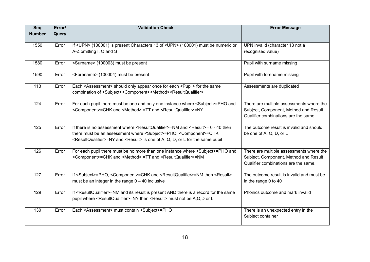| Seq           | Error/ | <b>Validation Check</b>                                                                                                   | <b>Error Message</b>                      |
|---------------|--------|---------------------------------------------------------------------------------------------------------------------------|-------------------------------------------|
| <b>Number</b> | Query  |                                                                                                                           |                                           |
|               |        |                                                                                                                           |                                           |
| 1550          | Error  | If <upn> (100001) is present Characters 13 of <upn> (100001) must be numeric or</upn></upn>                               | UPN invalid (character 13 not a           |
|               |        | A-Z omitting I, O and S                                                                                                   | recognised value)                         |
| 1580          | Error  | <surname> (100003) must be present</surname>                                                                              | Pupil with surname missing                |
| 1590          | Error  | <forename> (100004) must be present</forename>                                                                            | Pupil with forename missing               |
| 113           | Error  | Each <assessment> should only appear once for each <pupil> for the same</pupil></assessment>                              | Assessments are duplicated                |
|               |        | combination of <subject><component><method><resultqualifier></resultqualifier></method></component></subject>             |                                           |
| 124           | Error  | For each pupil there must be one and only one instance where <subject>=PHO and</subject>                                  | There are multiple assessments where the  |
|               |        | <component>=CHK and <method> =TT and <resultqualifier>=NY</resultqualifier></method></component>                          | Subject, Component, Method and Result     |
|               |        |                                                                                                                           | Qualifier combinations are the same.      |
| 125           | Error  | If there is no assessment where $\leq$ ResultQualifier>=NM and $\leq$ Result>= 0 - 40 then                                | The outcome result is invalid and should  |
|               |        | there must be an assessment where <subject>=PHO, <component>=CHK</component></subject>                                    | be one of A, Q, D, or L                   |
|               |        | <resultqualifier>=NY and <result> is one of A, Q, D, or L for the same pupil</result></resultqualifier>                   |                                           |
| 126           | Error  | For each pupil there must be no more than one instance where <subject>=PHO and</subject>                                  | There are multiple assessments where the  |
|               |        | <component>=CHK and <method> =TT and <resultqualifier>=NM</resultqualifier></method></component>                          | Subject, Component, Method and Result     |
|               |        |                                                                                                                           | Qualifier combinations are the same.      |
| 127           | Error  | If <subject>=PHO, <component>=CHK and <resultqualifier>=NM then <result></result></resultqualifier></component></subject> | The outcome result is invalid and must be |
|               |        | must be an integer in the range $0 - 40$ inclusive                                                                        | in the range 0 to 40                      |
|               |        |                                                                                                                           |                                           |
| 129           | Error  | If <resultqualifier>=NM and its result is present AND there is a record for the same</resultqualifier>                    | Phonics outcome and mark invalid          |
|               |        | pupil where <resultqualifier>=NY then <result> must not be A,Q,D or L</result></resultqualifier>                          |                                           |
| 130           | Error  | Each <assessment> must contain <subject>=PHO</subject></assessment>                                                       | There is an unexpected entry in the       |
|               |        |                                                                                                                           | Subject container                         |
|               |        |                                                                                                                           |                                           |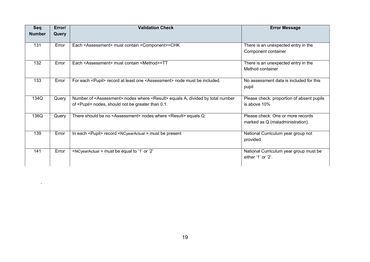| Seq           | Error/ | <b>Validation Check</b>                                                                                                                                           | <b>Error Message</b>                                                  |
|---------------|--------|-------------------------------------------------------------------------------------------------------------------------------------------------------------------|-----------------------------------------------------------------------|
| <b>Number</b> | Query  |                                                                                                                                                                   |                                                                       |
| 131           | Error  | Each <assessment> must contain <component>=CHK</component></assessment>                                                                                           | There is an unexpected entry in the<br>Component container            |
| 132           | Error  | Each <assessment> must contain <method>=TT</method></assessment>                                                                                                  | There is an unexpected entry in the<br>Method container               |
| 133           | Error  | For each <pupil> record at least one <assessment> node must be included.</assessment></pupil>                                                                     | No assessment data is included for this<br>pupil                      |
| 134Q          | Query  | Number of <assessment> nodes where <result> equals A, divided by total number<br/>of <pupil> nodes, should not be greater than 0.1.</pupil></result></assessment> | Please check: proportion of absent pupils<br>is above 10%             |
| 136Q          | Query  | There should be no <assessment> nodes where <result> equals Q.</result></assessment>                                                                              | Please check: One or more records<br>marked as Q (maladministration). |
| 139           | Error  | In each <pupil> record <ncyearactual> must be present</ncyearactual></pupil>                                                                                      | National Curriculum year group not<br>provided                        |
| 141           | Error  | <ncyearactual> must be equal to '1' or '2'</ncyearactual>                                                                                                         | National Curriculum year group must be<br>either $'1'$ or $'2'$ .     |

.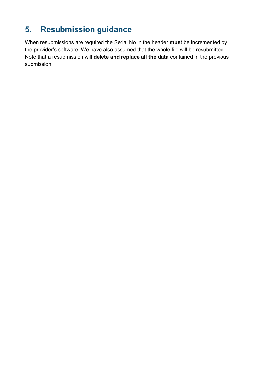# <span id="page-19-0"></span>**5. Resubmission guidance**

When resubmissions are required the Serial No in the header **must** be incremented by the provider's software. We have also assumed that the whole file will be resubmitted. Note that a resubmission will **delete and replace all the data** contained in the previous submission.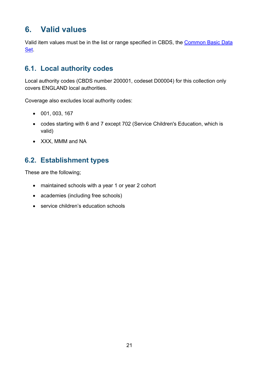# <span id="page-20-0"></span>**6. Valid values**

Valid item values must be in the list or range specified in CBDS, the [Common Basic Data](https://www.gov.uk/government/collections/common-basic-data-set) [Set.](https://www.gov.uk/government/collections/common-basic-data-set)

#### <span id="page-20-1"></span>**6.1. Local authority codes**

Local authority codes (CBDS number 200001, codeset D00004) for this collection only covers ENGLAND local authorities.

Coverage also excludes local authority codes:

- 001, 003, 167
- codes starting with 6 and 7 except 702 (Service Children's Education, which is valid)
- XXX, MMM and NA

## <span id="page-20-2"></span>**6.2. Establishment types**

These are the following;

- maintained schools with a year 1 or year 2 cohort
- academies (including free schools)
- service children's education schools